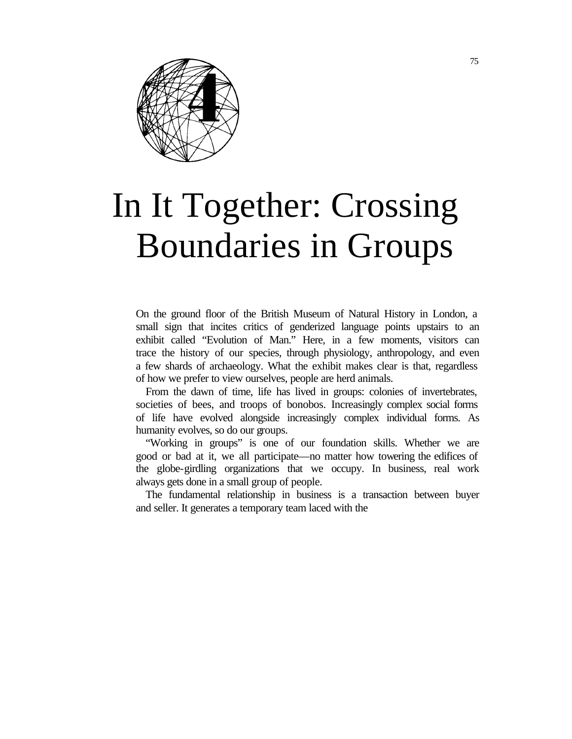

# In It Together: Crossing Boundaries in Groups

On the ground floor of the British Museum of Natural History in London, a small sign that incites critics of genderized language points upstairs to an exhibit called "Evolution of Man." Here, in a few moments, visitors can trace the history of our species, through physiology, anthropology, and even a few shards of archaeology. What the exhibit makes clear is that, regardless of how we prefer to view ourselves, people are herd animals.

From the dawn of time, life has lived in groups: colonies of invertebrates, societies of bees, and troops of bonobos. Increasingly complex social forms of life have evolved alongside increasingly complex individual forms. As humanity evolves, so do our groups.

"Working in groups" is one of our foundation skills. Whether we are good or bad at it, we all participate—no matter how towering the edifices of the globe-girdling organizations that we occupy. In business, real work always gets done in a small group of people.

The fundamental relationship in business is a transaction between buyer and seller. It generates a temporary team laced with the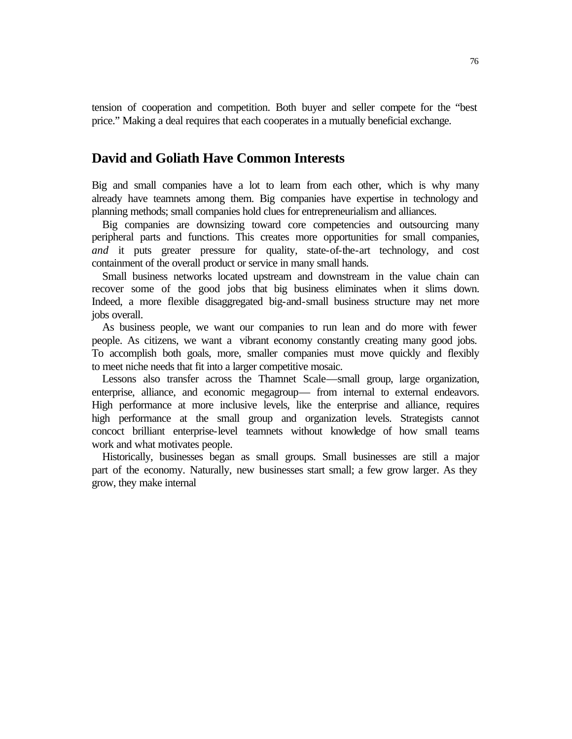tension of cooperation and competition. Both buyer and seller compete for the "best price." Making a deal requires that each cooperates in a mutually beneficial exchange.

### **David and Goliath Have Common Interests**

Big and small companies have a lot to learn from each other, which is why many already have teamnets among them. Big companies have expertise in technology and planning methods; small companies hold clues for entrepreneurialism and alliances.

Big companies are downsizing toward core competencies and outsourcing many peripheral parts and functions. This creates more opportunities for small companies, *and* it puts greater pressure for quality, state-of-the-art technology, and cost containment of the overall product or service in many small hands.

Small business networks located upstream and downstream in the value chain can recover some of the good jobs that big business eliminates when it slims down. Indeed, a more flexible disaggregated big-and-small business structure may net more jobs overall.

As business people, we want our companies to run lean and do more with fewer people. As citizens, we want a vibrant economy constantly creating many good jobs. To accomplish both goals, more, smaller companies must move quickly and flexibly to meet niche needs that fit into a larger competitive mosaic.

Lessons also transfer across the Thamnet Scale—small group, large organization, enterprise, alliance, and economic megagroup— from internal to external endeavors. High performance at more inclusive levels, like the enterprise and alliance, requires high performance at the small group and organization levels. Strategists cannot concoct brilliant enterprise-level teamnets without knowledge of how small teams work and what motivates people.

Historically, businesses began as small groups. Small businesses are still a major part of the economy. Naturally, new businesses start small; a few grow larger. As they grow, they make internal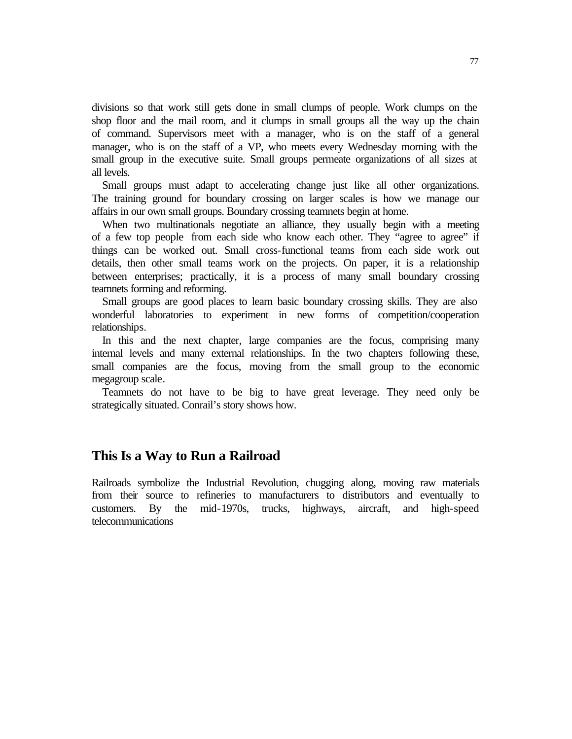divisions so that work still gets done in small clumps of people. Work clumps on the shop floor and the mail room, and it clumps in small groups all the way up the chain of command. Supervisors meet with a manager, who is on the staff of a general manager, who is on the staff of a VP, who meets every Wednesday morning with the small group in the executive suite. Small groups permeate organizations of all sizes at all levels.

Small groups must adapt to accelerating change just like all other organizations. The training ground for boundary crossing on larger scales is how we manage our affairs in our own small groups. Boundary crossing teamnets begin at home.

When two multinationals negotiate an alliance, they usually begin with a meeting of a few top people from each side who know each other. They "agree to agree" if things can be worked out. Small cross-functional teams from each side work out details, then other small teams work on the projects. On paper, it is a relationship between enterprises; practically, it is a process of many small boundary crossing teamnets forming and reforming.

Small groups are good places to learn basic boundary crossing skills. They are also wonderful laboratories to experiment in new forms of competition/cooperation relationships.

In this and the next chapter, large companies are the focus, comprising many internal levels and many external relationships. In the two chapters following these, small companies are the focus, moving from the small group to the economic megagroup scale.

Teamnets do not have to be big to have great leverage. They need only be strategically situated. Conrail's story shows how.

#### **This Is a Way to Run a Railroad**

Railroads symbolize the Industrial Revolution, chugging along, moving raw materials from their source to refineries to manufacturers to distributors and eventually to customers. By the mid-1970s, trucks, highways, aircraft, and high-speed telecommunications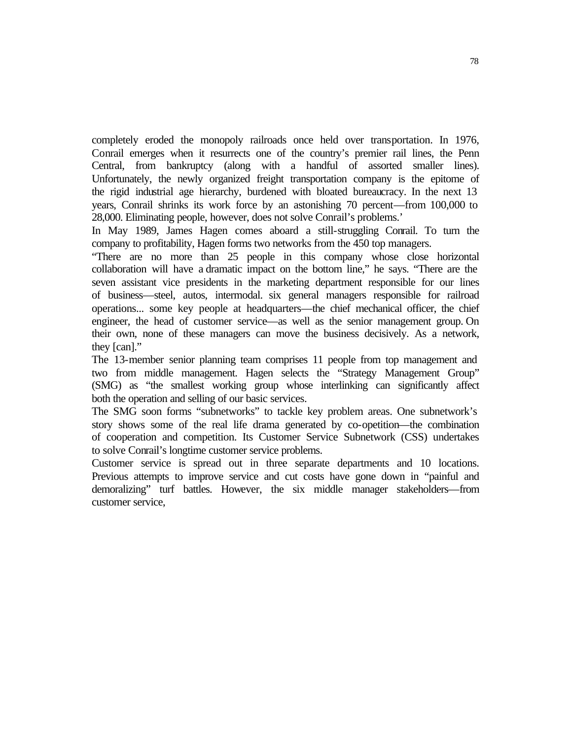completely eroded the monopoly railroads once held over transportation. In 1976, Conrail emerges when it resurrects one of the country's premier rail lines, the Penn Central, from bankruptcy (along with a handful of assorted smaller lines). Unfortunately, the newly organized freight transportation company is the epitome of the rigid industrial age hierarchy, burdened with bloated bureaucracy. In the next 13 years, Conrail shrinks its work force by an astonishing 70 percent—from 100,000 to 28,000. Eliminating people, however, does not solve Conrail's problems.'

In May 1989, James Hagen comes aboard a still-struggling Conrail. To turn the company to profitability, Hagen forms two networks from the 450 top managers.

"There are no more than 25 people in this company whose close horizontal collaboration will have a dramatic impact on the bottom line," he says. "There are the seven assistant vice presidents in the marketing department responsible for our lines of business—steel, autos, intermodal. six general managers responsible for railroad operations... some key people at headquarters—the chief mechanical officer, the chief engineer, the head of customer service—as well as the senior management group. On their own, none of these managers can move the business decisively. As a network, they [can]."

The 13-member senior planning team comprises 11 people from top management and two from middle management. Hagen selects the "Strategy Management Group" (SMG) as "the smallest working group whose interlinking can significantly affect both the operation and selling of our basic services.

The SMG soon forms "subnetworks" to tackle key problem areas. One subnetwork's story shows some of the real life drama generated by co-opetition—the combination of cooperation and competition. Its Customer Service Subnetwork (CSS) undertakes to solve Conrail's longtime customer service problems.

Customer service is spread out in three separate departments and 10 locations. Previous attempts to improve service and cut costs have gone down in "painful and demoralizing" turf battles. However, the six middle manager stakeholders—from customer service,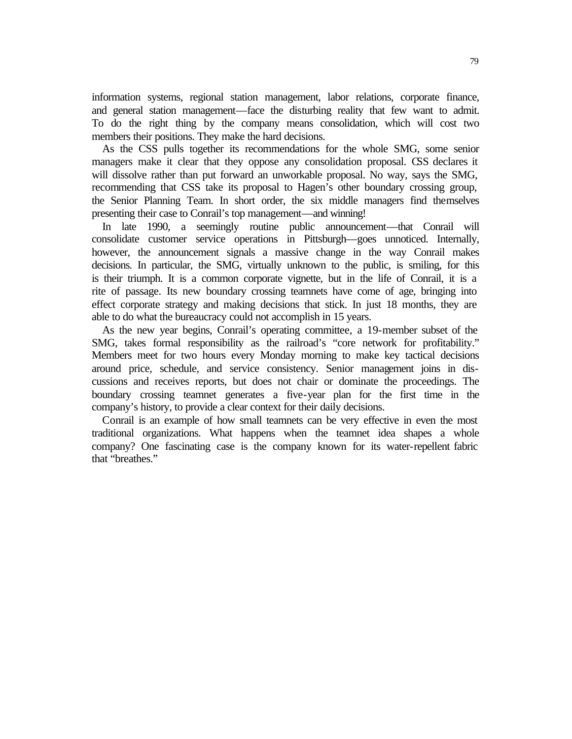information systems, regional station management, labor relations, corporate finance, and general station management—face the disturbing reality that few want to admit. To do the right thing by the company means consolidation, which will cost two members their positions. They make the hard decisions.

As the CSS pulls together its recommendations for the whole SMG, some senior managers make it clear that they oppose any consolidation proposal. CSS declares it will dissolve rather than put forward an unworkable proposal. No way, says the SMG, recommending that CSS take its proposal to Hagen's other boundary crossing group, the Senior Planning Team. In short order, the six middle managers find themselves presenting their case to Conrail's top management—and winning!

In late 1990, a seemingly routine public announcement—that Conrail will consolidate customer service operations in Pittsburgh—goes unnoticed. Internally, however, the announcement signals a massive change in the way Conrail makes decisions. In particular, the SMG, virtually unknown to the public, is smiling, for this is their triumph. It is a common corporate vignette, but in the life of Conrail, it is a rite of passage. Its new boundary crossing teamnets have come of age, bringing into effect corporate strategy and making decisions that stick. In just 18 months, they are able to do what the bureaucracy could not accomplish in 15 years.

As the new year begins, Conrail's operating committee, a 19-member subset of the SMG, takes formal responsibility as the railroad's "core network for profitability." Members meet for two hours every Monday morning to make key tactical decisions around price, schedule, and service consistency. Senior management joins in discussions and receives reports, but does not chair or dominate the proceedings. The boundary crossing teamnet generates a five-year plan for the first time in the company's history, to provide a clear context for their daily decisions.

Conrail is an example of how small teamnets can be very effective in even the most traditional organizations. What happens when the teamnet idea shapes a whole company? One fascinating case is the company known for its water-repellent fabric that "breathes."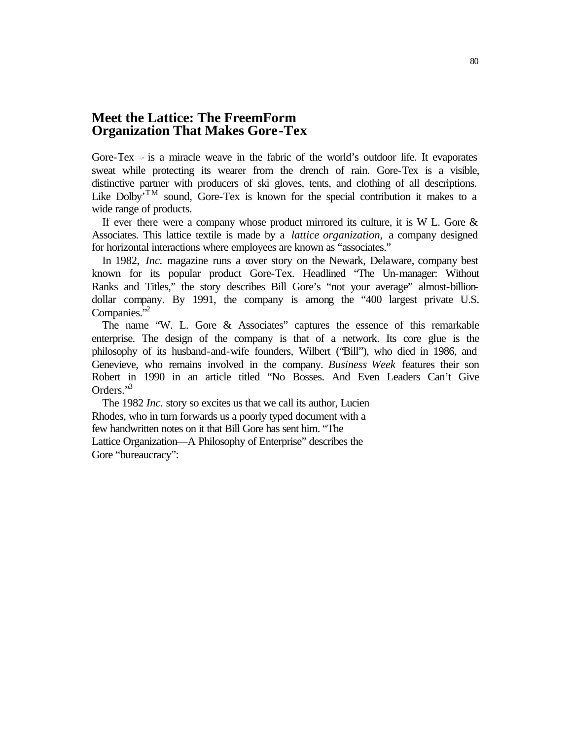## **Meet the Lattice: The FreemForm Organization That Makes Gore-Tex**

Gore-Tex – is a miracle weave in the fabric of the world's outdoor life. It evaporates sweat while protecting its wearer from the drench of rain. Gore-Tex is a visible, distinctive partner with producers of ski gloves, tents, and clothing of all descriptions. Like Dolby<sup> $TM$ </sup> sound, Gore-Tex is known for the special contribution it makes to a wide range of products.

If ever there were a company whose product mirrored its culture, it is W L. Gore  $\&$ Associates. This lattice textile is made by a *lattice organization,* a company designed for horizontal interactions where employees are known as "associates."

In 1982, *Inc.* magazine runs a cover story on the Newark, Delaware, company best known for its popular product Gore-Tex. Headlined "The Un-manager: Without Ranks and Titles," the story describes Bill Gore's "not your average" almost-billiondollar company. By 1991, the company is among the "400 largest private U.S. Companies."<sup>2</sup>

The name "W. L. Gore & Associates" captures the essence of this remarkable enterprise. The design of the company is that of a network. Its core glue is the philosophy of its husband-and-wife founders, Wilbert ("Bill"), who died in 1986, and Genevieve, who remains involved in the company. *Business Week* features their son Robert in 1990 in an article titled "No Bosses. And Even Leaders Can't Give Orders."<sup>3</sup>

The 1982 *Inc.* story so excites us that we call its author, Lucien Rhodes, who in turn forwards us a poorly typed document with a few handwritten notes on it that Bill Gore has sent him. "The Lattice Organization—A Philosophy of Enterprise" describes the Gore "bureaucracy":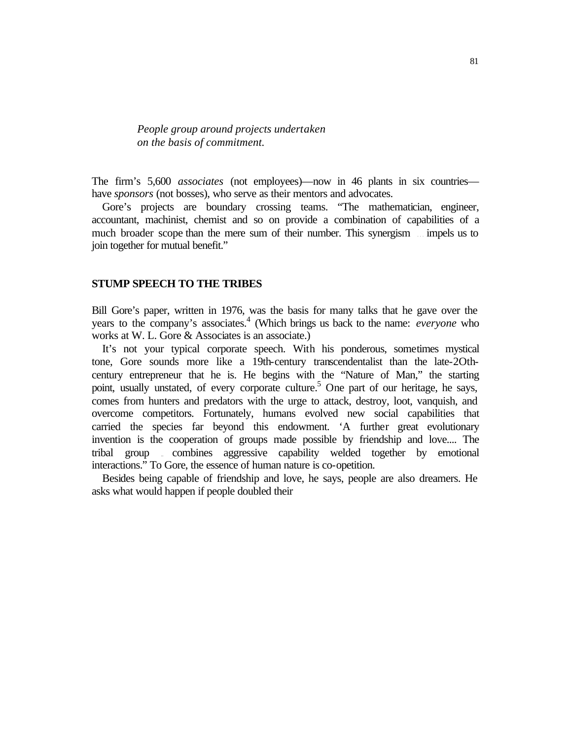*People group around projects undertaken on the basis of commitment.*

The firm's 5,600 *associates* (not employees)—now in 46 plants in six countries have *sponsors* (not bosses), who serve as their mentors and advocates.

Gore's projects are boundary crossing teams. "The mathematician, engineer, accountant, machinist, chemist and so on provide a combination of capabilities of a much broader scope than the mere sum of their number. This synergism ... impels us to join together for mutual benefit."

#### **STUMP SPEECH TO THE TRIBES**

Bill Gore's paper, written in 1976, was the basis for many talks that he gave over the years to the company's associates.<sup>4</sup> (Which brings us back to the name: *everyone* who works at W. L. Gore & Associates is an associate.)

It's not your typical corporate speech. With his ponderous, sometimes mystical tone, Gore sounds more like a 19th-century transcendentalist than the late-2Othcentury entrepreneur that he is. He begins with the "Nature of Man," the starting point, usually unstated, of every corporate culture.<sup>5</sup> One part of our heritage, he says, comes from hunters and predators with the urge to attack, destroy, loot, vanquish, and overcome competitors. Fortunately, humans evolved new social capabilities that carried the species far beyond this endowment. 'A further great evolutionary invention is the cooperation of groups made possible by friendship and love.... The tribal group ... combines aggressive capability welded together by emotional interactions." To Gore, the essence of human nature is co-opetition.

Besides being capable of friendship and love, he says, people are also dreamers. He asks what would happen if people doubled their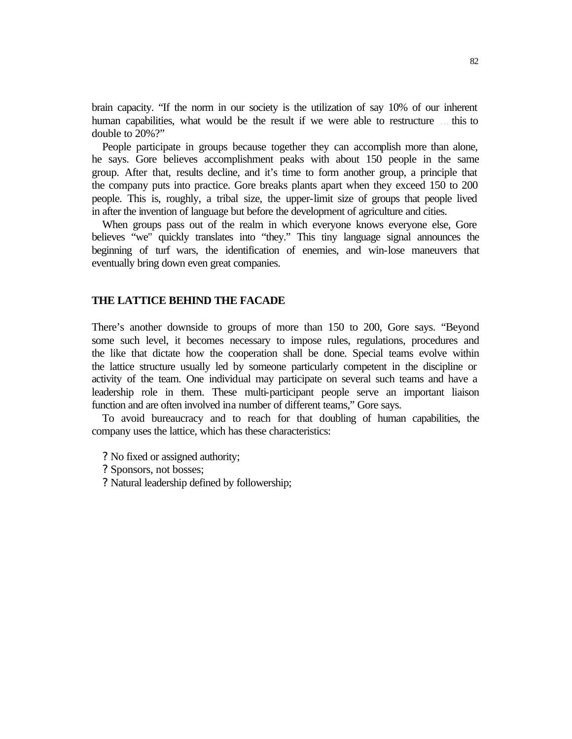brain capacity. "If the norm in our society is the utilization of say 10% of our inherent human capabilities, what would be the result if we were able to restructure ... this to double to 20%?"

People participate in groups because together they can accomplish more than alone, he says. Gore believes accomplishment peaks with about 150 people in the same group. After that, results decline, and it's time to form another group, a principle that the company puts into practice. Gore breaks plants apart when they exceed 150 to 200 people. This is, roughly, a tribal size, the upper-limit size of groups that people lived in after the invention of language but before the development of agriculture and cities.

When groups pass out of the realm in which everyone knows everyone else, Gore believes "we" quickly translates into "they." This tiny language signal announces the beginning of turf wars, the identification of enemies, and win-lose maneuvers that eventually bring down even great companies.

#### **THE LATTICE BEHIND THE FACADE**

There's another downside to groups of more than 150 to 200, Gore says. "Beyond some such level, it becomes necessary to impose rules, regulations, procedures and the like that dictate how the cooperation shall be done. Special teams evolve within the lattice structure usually led by someone particularly competent in the discipline or activity of the team. One individual may participate on several such teams and have a leadership role in them. These multi-participant people serve an important liaison function and are often involved ina number of different teams," Gore says.

To avoid bureaucracy and to reach for that doubling of human capabilities, the company uses the lattice, which has these characteristics:

? No fixed or assigned authority;

? Sponsors, not bosses;

? Natural leadership defined by followership;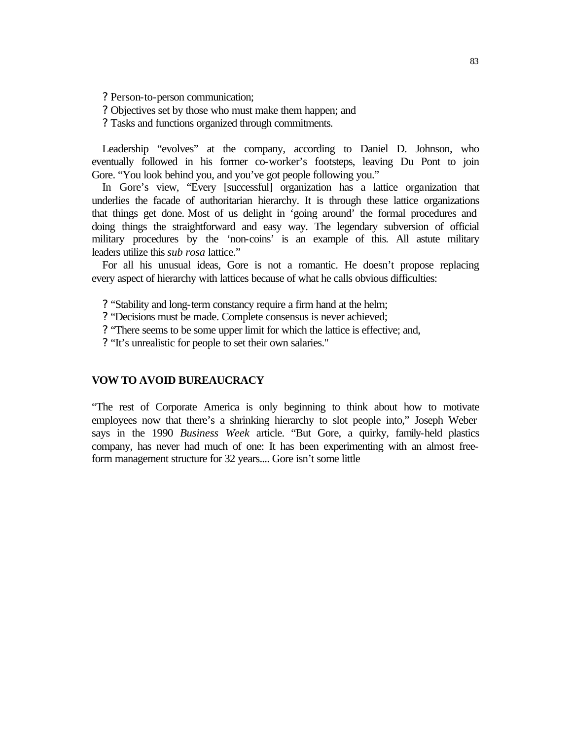? Person-to-person communication;

? Objectives set by those who must make them happen; and

? Tasks and functions organized through commitments.

Leadership "evolves" at the company, according to Daniel D. Johnson, who eventually followed in his former co-worker's footsteps, leaving Du Pont to join Gore. "You look behind you, and you've got people following you."

In Gore's view, "Every [successful] organization has a lattice organization that underlies the facade of authoritarian hierarchy. It is through these lattice organizations that things get done. Most of us delight in 'going around' the formal procedures and doing things the straightforward and easy way. The legendary subversion of official military procedures by the 'non-coins' is an example of this. All astute military leaders utilize this *sub rosa* lattice."

For all his unusual ideas, Gore is not a romantic. He doesn't propose replacing every aspect of hierarchy with lattices because of what he calls obvious difficulties:

? "Stability and long-term constancy require a firm hand at the helm;

? "Decisions must be made. Complete consensus is never achieved;

? "There seems to be some upper limit for which the lattice is effective; and,

? "It's unrealistic for people to set their own salaries."

#### **VOW TO AVOID BUREAUCRACY**

"The rest of Corporate America is only beginning to think about how to motivate employees now that there's a shrinking hierarchy to slot people into," Joseph Weber says in the 1990 *Business Week* article. "But Gore, a quirky, family-held plastics company, has never had much of one: It has been experimenting with an almost freeform management structure for 32 years.... Gore isn't some little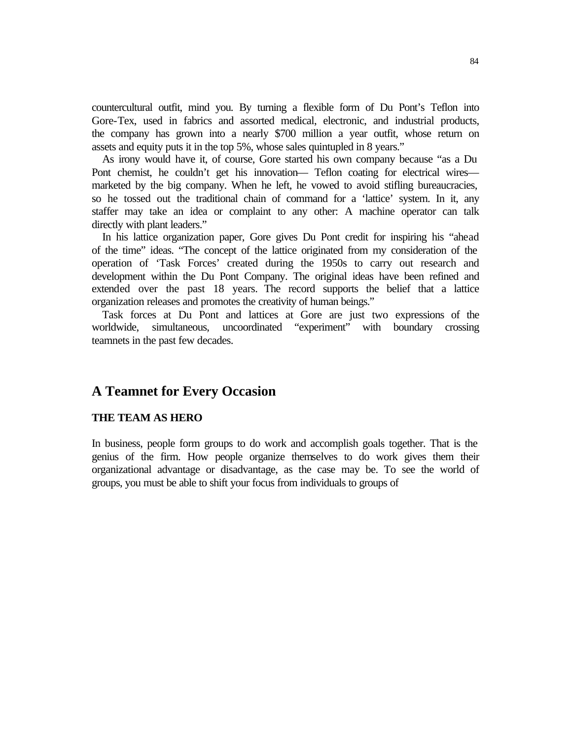countercultural outfit, mind you. By turning a flexible form of Du Pont's Teflon into Gore-Tex, used in fabrics and assorted medical, electronic, and industrial products, the company has grown into a nearly \$700 million a year outfit, whose return on assets and equity puts it in the top 5%, whose sales quintupled in 8 years."

As irony would have it, of course, Gore started his own company because "as a Du Pont chemist, he couldn't get his innovation— Teflon coating for electrical wires marketed by the big company. When he left, he vowed to avoid stifling bureaucracies, so he tossed out the traditional chain of command for a 'lattice' system. In it, any staffer may take an idea or complaint to any other: A machine operator can talk directly with plant leaders."

In his lattice organization paper, Gore gives Du Pont credit for inspiring his "ahead of the time" ideas. "The concept of the lattice originated from my consideration of the operation of 'Task Forces' created during the 1950s to carry out research and development within the Du Pont Company. The original ideas have been refined and extended over the past 18 years. The record supports the belief that a lattice organization releases and promotes the creativity of human beings."

Task forces at Du Pont and lattices at Gore are just two expressions of the worldwide, simultaneous, uncoordinated "experiment" with boundary crossing teamnets in the past few decades.

# **A Teamnet for Every Occasion**

#### **THE TEAM AS HERO**

In business, people form groups to do work and accomplish goals together. That is the genius of the firm. How people organize themselves to do work gives them their organizational advantage or disadvantage, as the case may be. To see the world of groups, you must be able to shift your focus from individuals to groups of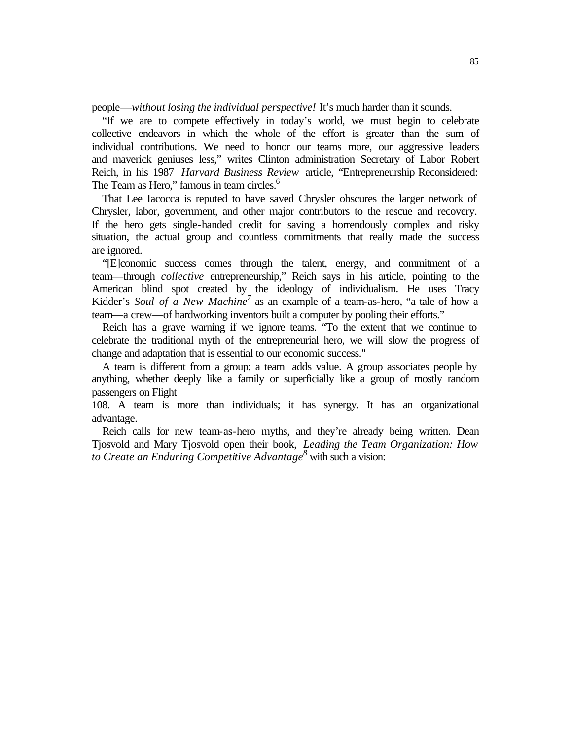people—*without losing the individual perspective!* It's much harder than it sounds.

"If we are to compete effectively in today's world, we must begin to celebrate collective endeavors in which the whole of the effort is greater than the sum of individual contributions. We need to honor our teams more, our aggressive leaders and maverick geniuses less," writes Clinton administration Secretary of Labor Robert Reich, in his 1987 *Harvard Business Review* article, "Entrepreneurship Reconsidered: The Team as Hero," famous in team circles.<sup>6</sup>

That Lee Iacocca is reputed to have saved Chrysler obscures the larger network of Chrysler, labor, government, and other major contributors to the rescue and recovery. If the hero gets single-handed credit for saving a horrendously complex and risky situation, the actual group and countless commitments that really made the success are ignored.

"[E]conomic success comes through the talent, energy, and commitment of a team—through *collective* entrepreneurship," Reich says in his article, pointing to the American blind spot created by the ideology of individualism. He uses Tracy Kidder's *Soul of a New Machine<sup>7</sup>*as an example of a team-as-hero, "a tale of how a team—a crew—of hardworking inventors built a computer by pooling their efforts."

Reich has a grave warning if we ignore teams. "To the extent that we continue to celebrate the traditional myth of the entrepreneurial hero, we will slow the progress of change and adaptation that is essential to our economic success."

A team is different from a group; a team adds value. A group associates people by anything, whether deeply like a family or superficially like a group of mostly random passengers on Flight

108. A team is more than individuals; it has synergy. It has an organizational advantage.

Reich calls for new team-as-hero myths, and they're already being written. Dean Tjosvold and Mary Tjosvold open their book, *Leading the Team Organization: How to Create an Enduring Competitive Advantage<sup>8</sup> with such a vision:*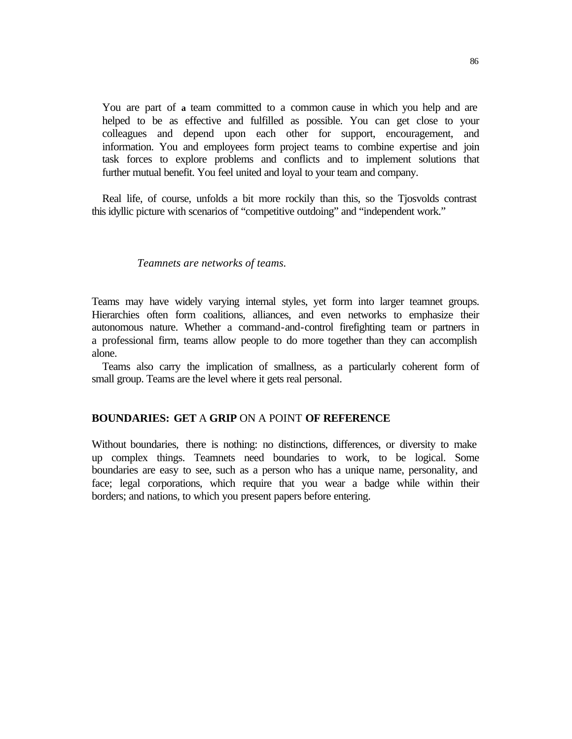You are part of **a** team committed to a common cause in which you help and are helped to be as effective and fulfilled as possible. You can get close to your colleagues and depend upon each other for support, encouragement, and information. You and employees form project teams to combine expertise and join task forces to explore problems and conflicts and to implement solutions that further mutual benefit. You feel united and loyal to your team and company.

Real life, of course, unfolds a bit more rockily than this, so the Tjosvolds contrast this idyllic picture with scenarios of "competitive outdoing" and "independent work."

#### *Teamnets are networks of teams.*

Teams may have widely varying internal styles, yet form into larger teamnet groups. Hierarchies often form coalitions, alliances, and even networks to emphasize their autonomous nature. Whether a command-and-control firefighting team or partners in a professional firm, teams allow people to do more together than they can accomplish alone.

Teams also carry the implication of smallness, as a particularly coherent form of small group. Teams are the level where it gets real personal.

#### **BOUNDARIES: GET** A **GRIP** ON A POINT **OF REFERENCE**

Without boundaries, there is nothing: no distinctions, differences, or diversity to make up complex things. Teamnets need boundaries to work, to be logical. Some boundaries are easy to see, such as a person who has a unique name, personality, and face; legal corporations, which require that you wear a badge while within their borders; and nations, to which you present papers before entering.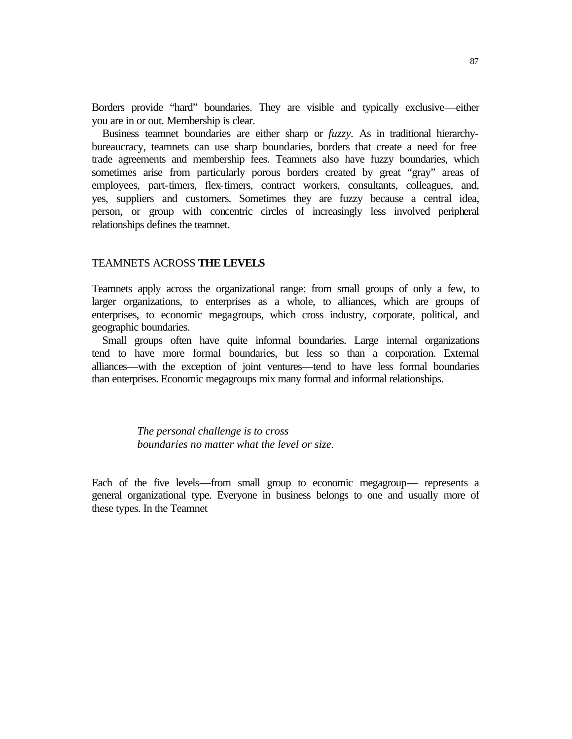Borders provide "hard" boundaries. They are visible and typically exclusive—either you are in or out. Membership is clear.

Business teamnet boundaries are either sharp or *fuzzy.* As in traditional hierarchybureaucracy, teamnets can use sharp boundaries, borders that create a need for free trade agreements and membership fees. Teamnets also have fuzzy boundaries, which sometimes arise from particularly porous borders created by great "gray" areas of employees, part-timers, flex-timers, contract workers, consultants, colleagues, and, yes, suppliers and customers. Sometimes they are fuzzy because a central idea, person, or group with concentric circles of increasingly less involved peripheral relationships defines the teamnet.

#### TEAMNETS ACROSS **THE LEVELS**

Teamnets apply across the organizational range: from small groups of only a few, to larger organizations, to enterprises as a whole, to alliances, which are groups of enterprises, to economic megagroups, which cross industry, corporate, political, and geographic boundaries.

Small groups often have quite informal boundaries. Large internal organizations tend to have more formal boundaries, but less so than a corporation. External alliances—with the exception of joint ventures—tend to have less formal boundaries than enterprises. Economic megagroups mix many formal and informal relationships.

> *The personal challenge is to cross boundaries no matter what the level or size.*

Each of the five levels—from small group to economic megagroup— represents a general organizational type. Everyone in business belongs to one and usually more of these types. In the Teamnet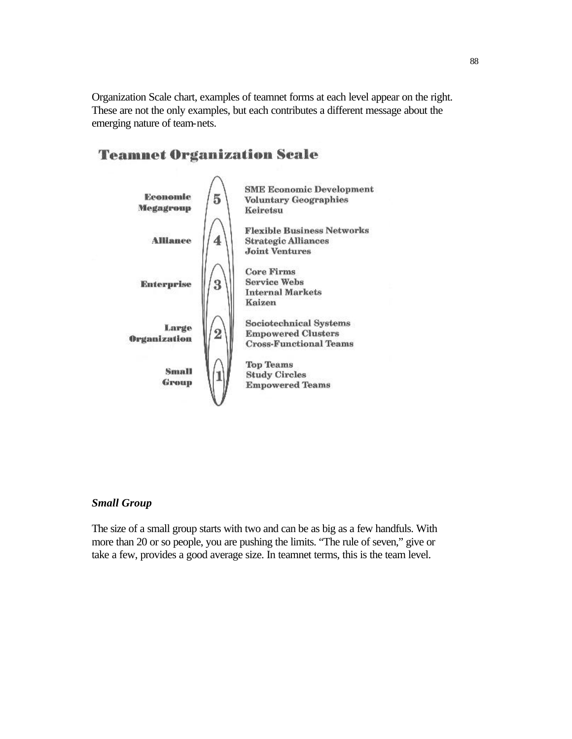Organization Scale chart, examples of teamnet forms at each level appear on the right. These are not the only examples, but each contributes a different message about the emerging nature of team-nets.



# **Teamnet Organization Scale**

#### *Small Group*

The size of a small group starts with two and can be as big as a few handfuls. With more than 20 or so people, you are pushing the limits. "The rule of seven," give or take a few, provides a good average size. In teamnet terms, this is the team level.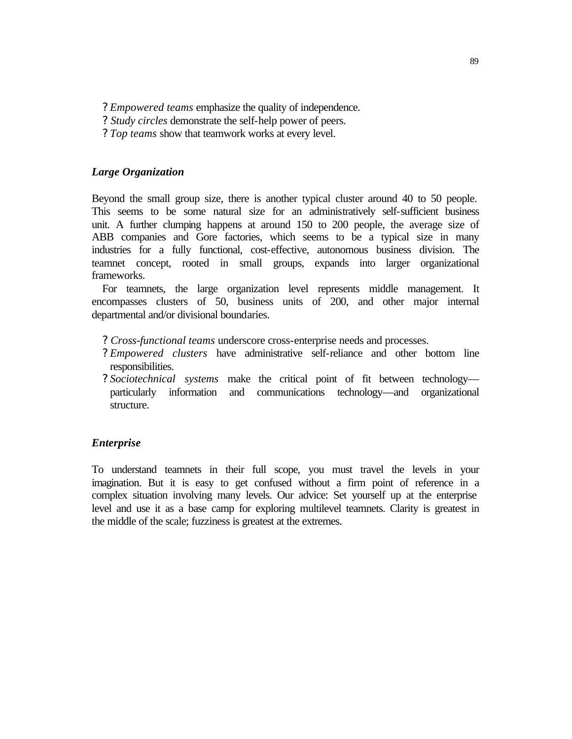*? Empowered teams* emphasize the quality of independence.

- *? Study circles* demonstrate the self-help power of peers.
- *? Top teams* show that teamwork works at every level.

#### *Large Organization*

Beyond the small group size, there is another typical cluster around 40 to 50 people. This seems to be some natural size for an administratively self-sufficient business unit. A further clumping happens at around 150 to 200 people, the average size of ABB companies and Gore factories, which seems to be a typical size in many industries for a fully functional, cost-effective, autonomous business division. The teamnet concept, rooted in small groups, expands into larger organizational frameworks.

For teamnets, the large organization level represents middle management. It encompasses clusters of 50, business units of 200, and other major internal departmental and/or divisional boundaries.

- *? Cross-functional teams* underscore cross-enterprise needs and processes.
- *? Empowered clusters* have administrative self-reliance and other bottom line responsibilities.
- *? Sociotechnical systems* make the critical point of fit between technology particularly information and communications technology—and organizational structure.

#### *Enterprise*

To understand teamnets in their full scope, you must travel the levels in your imagination. But it is easy to get confused without a firm point of reference in a complex situation involving many levels. Our advice: Set yourself up at the enterprise level and use it as a base camp for exploring multilevel teamnets. Clarity is greatest in the middle of the scale; fuzziness is greatest at the extremes.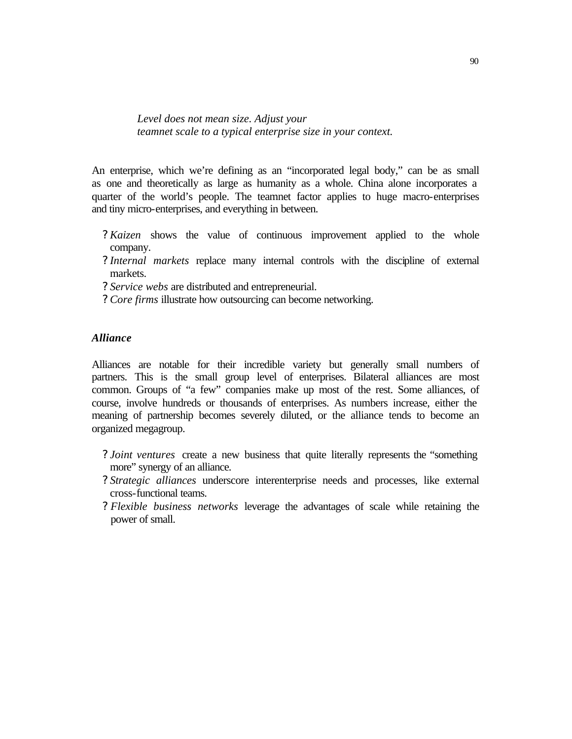*Level does not mean size. Adjust your teamnet scale to a typical enterprise size in your context.*

An enterprise, which we're defining as an "incorporated legal body," can be as small as one and theoretically as large as humanity as a whole. China alone incorporates a quarter of the world's people. The teamnet factor applies to huge macro-enterprises and tiny micro-enterprises, and everything in between.

- *? Kaizen* shows the value of continuous improvement applied to the whole company.
- *? Internal markets* replace many internal controls with the discipline of external markets.
- *? Service webs* are distributed and entrepreneurial.
- *? Core firms* illustrate how outsourcing can become networking.

#### *Alliance*

Alliances are notable for their incredible variety but generally small numbers of partners. This is the small group level of enterprises. Bilateral alliances are most common. Groups of "a few" companies make up most of the rest. Some alliances, of course, involve hundreds or thousands of enterprises. As numbers increase, either the meaning of partnership becomes severely diluted, or the alliance tends to become an organized megagroup.

- *? Joint ventures* create a new business that quite literally represents the "something more" synergy of an alliance.
- *? Strategic alliances* underscore interenterprise needs and processes, like external cross-functional teams.
- *? Flexible business networks* leverage the advantages of scale while retaining the power of small.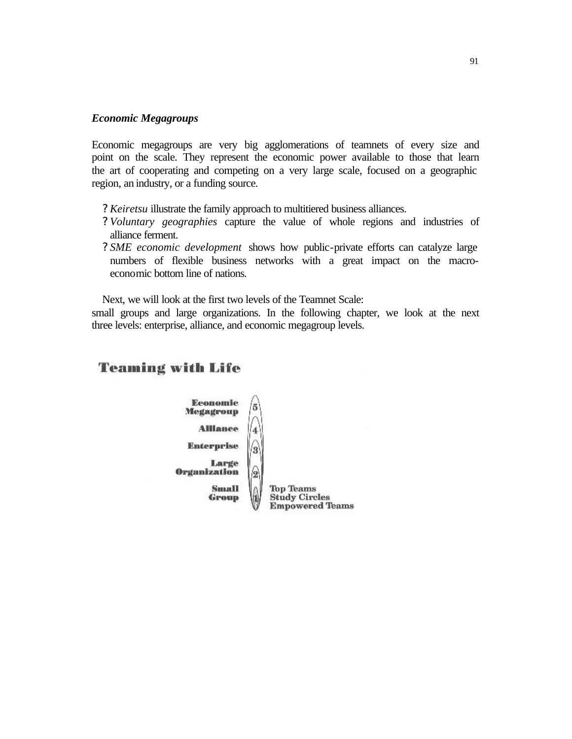#### *Economic Megagroups*

Economic megagroups are very big agglomerations of teamnets of every size and point on the scale. They represent the economic power available to those that learn the art of cooperating and competing on a very large scale, focused on a geographic region, an industry, or a funding source.

- *? Keiretsu* illustrate the family approach to multitiered business alliances.
- *? Voluntary geographies* capture the value of whole regions and industries of alliance ferment.
- *? SME economic development* shows how public-private efforts can catalyze large numbers of flexible business networks with a great impact on the macroeconomic bottom line of nations.

Next, we will look at the first two levels of the Teamnet Scale:

small groups and large organizations. In the following chapter, we look at the next three levels: enterprise, alliance, and economic megagroup levels.

# **Teaming with Life**

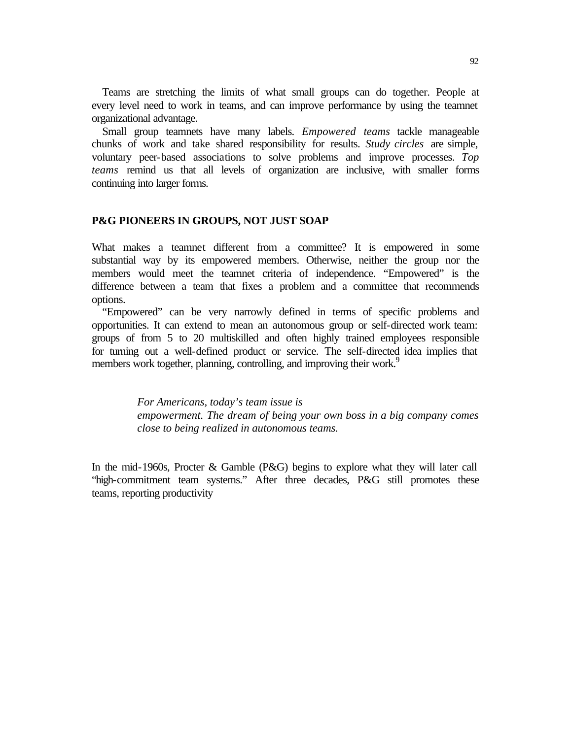Teams are stretching the limits of what small groups can do together. People at every level need to work in teams, and can improve performance by using the teamnet organizational advantage.

Small group teamnets have many labels. *Empowered teams* tackle manageable chunks of work and take shared responsibility for results. *Study circles* are simple, voluntary peer-based associations to solve problems and improve processes. *Top teams* remind us that all levels of organization are inclusive, with smaller forms continuing into larger forms.

#### **P&G PIONEERS IN GROUPS, NOT JUST SOAP**

What makes a teamnet different from a committee? It is empowered in some substantial way by its empowered members. Otherwise, neither the group nor the members would meet the teamnet criteria of independence. "Empowered" is the difference between a team that fixes a problem and a committee that recommends options.

"Empowered" can be very narrowly defined in terms of specific problems and opportunities. It can extend to mean an autonomous group or self-directed work team: groups of from 5 to 20 multiskilled and often highly trained employees responsible for turning out a well-defined product or service. The self-directed idea implies that members work together, planning, controlling, and improving their work.<sup>9</sup>

> *For Americans, today's team issue is empowerment. The dream of being your own boss in a big company comes close to being realized in autonomous teams.*

In the mid-1960s, Procter & Gamble (P&G) begins to explore what they will later call "high-commitment team systems." After three decades, P&G still promotes these teams, reporting productivity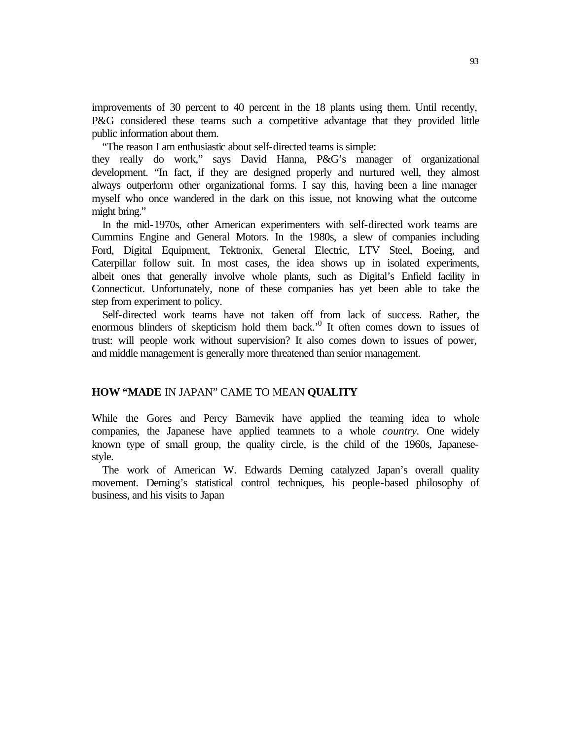improvements of 30 percent to 40 percent in the 18 plants using them. Until recently, P&G considered these teams such a competitive advantage that they provided little public information about them.

"The reason I am enthusiastic about self-directed teams is simple:

they really do work," says David Hanna, P&G's manager of organizational development. "In fact, if they are designed properly and nurtured well, they almost always outperform other organizational forms. I say this, having been a line manager myself who once wandered in the dark on this issue, not knowing what the outcome might bring."

In the mid-1970s, other American experimenters with self-directed work teams are Cummins Engine and General Motors. In the 1980s, a slew of companies including Ford, Digital Equipment, Tektronix, General Electric, LTV Steel, Boeing, and Caterpillar follow suit. In most cases, the idea shows up in isolated experiments, albeit ones that generally involve whole plants, such as Digital's Enfield facility in Connecticut. Unfortunately, none of these companies has yet been able to take the step from experiment to policy.

Self-directed work teams have not taken off from lack of success. Rather, the enormous blinders of skepticism hold them back.<sup>'0</sup> It often comes down to issues of trust: will people work without supervision? It also comes down to issues of power, and middle management is generally more threatened than senior management.

#### **HOW "MADE** IN JAPAN" CAME TO MEAN **QUALITY**

While the Gores and Percy Barnevik have applied the teaming idea to whole companies, the Japanese have applied teamnets to a whole *country.* One widely known type of small group, the quality circle, is the child of the 1960s, Japanesestyle.

The work of American W. Edwards Deming catalyzed Japan's overall quality movement. Deming's statistical control techniques, his people-based philosophy of business, and his visits to Japan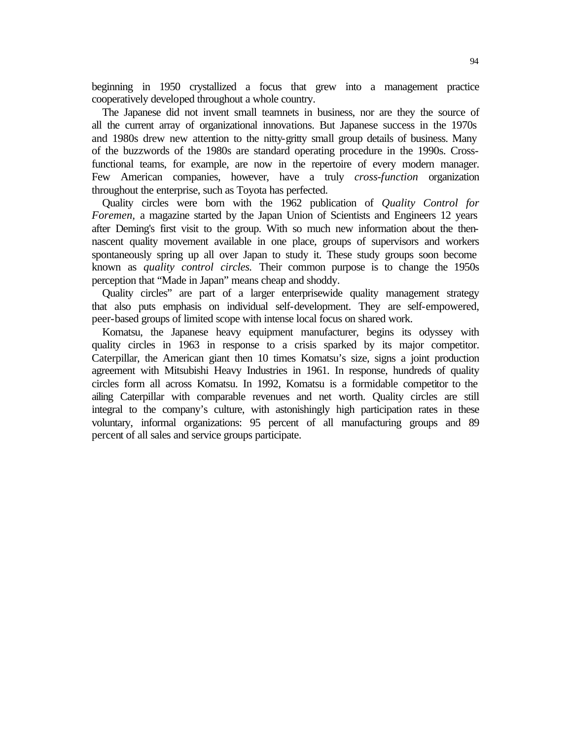beginning in 1950 crystallized a focus that grew into a management practice cooperatively developed throughout a whole country.

The Japanese did not invent small teamnets in business, nor are they the source of all the current array of organizational innovations. But Japanese success in the 1970s and 1980s drew new attention to the nitty-gritty small group details of business. Many of the buzzwords of the 1980s are standard operating procedure in the 1990s. Crossfunctional teams, for example, are now in the repertoire of every modern manager. Few American companies, however, have a truly *cross-function* organization throughout the enterprise, such as Toyota has perfected.

Quality circles were born with the 1962 publication of *Quality Control for Foremen,* a magazine started by the Japan Union of Scientists and Engineers 12 years after Deming's first visit to the group. With so much new information about the thennascent quality movement available in one place, groups of supervisors and workers spontaneously spring up all over Japan to study it. These study groups soon become known as *quality control circles.* Their common purpose is to change the 1950s perception that "Made in Japan" means cheap and shoddy.

Quality circles" are part of a larger enterprisewide quality management strategy that also puts emphasis on individual self-development. They are self-empowered, peer-based groups of limited scope with intense local focus on shared work.

Komatsu, the Japanese heavy equipment manufacturer, begins its odyssey with quality circles in 1963 in response to a crisis sparked by its major competitor. Caterpillar, the American giant then 10 times Komatsu's size, signs a joint production agreement with Mitsubishi Heavy Industries in 1961. In response, hundreds of quality circles form all across Komatsu. In 1992, Komatsu is a formidable competitor to the ailing Caterpillar with comparable revenues and net worth. Quality circles are still integral to the company's culture, with astonishingly high participation rates in these voluntary, informal organizations: 95 percent of all manufacturing groups and 89 percent of all sales and service groups participate.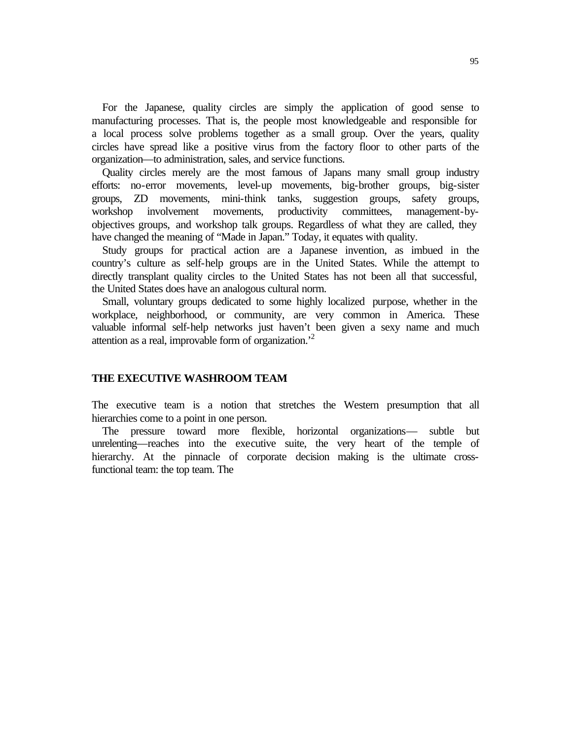For the Japanese, quality circles are simply the application of good sense to manufacturing processes. That is, the people most knowledgeable and responsible for a local process solve problems together as a small group. Over the years, quality circles have spread like a positive virus from the factory floor to other parts of the organization—to administration, sales, and service functions.

Quality circles merely are the most famous of Japans many small group industry efforts: no-error movements, level-up movements, big-brother groups, big-sister groups, ZD movements, mini-think tanks, suggestion groups, safety groups, workshop involvement movements, productivity committees, management-byobjectives groups, and workshop talk groups. Regardless of what they are called, they have changed the meaning of "Made in Japan." Today, it equates with quality.

Study groups for practical action are a Japanese invention, as imbued in the country's culture as self-help groups are in the United States. While the attempt to directly transplant quality circles to the United States has not been all that successful, the United States does have an analogous cultural norm.

Small, voluntary groups dedicated to some highly localized purpose, whether in the workplace, neighborhood, or community, are very common in America. These valuable informal self-help networks just haven't been given a sexy name and much attention as a real, improvable form of organization.'<sup>2</sup>

#### **THE EXECUTIVE WASHROOM TEAM**

The executive team is a notion that stretches the Western presumption that all hierarchies come to a point in one person.

The pressure toward more flexible, horizontal organizations— subtle but unrelenting—reaches into the executive suite, the very heart of the temple of hierarchy. At the pinnacle of corporate decision making is the ultimate crossfunctional team: the top team. The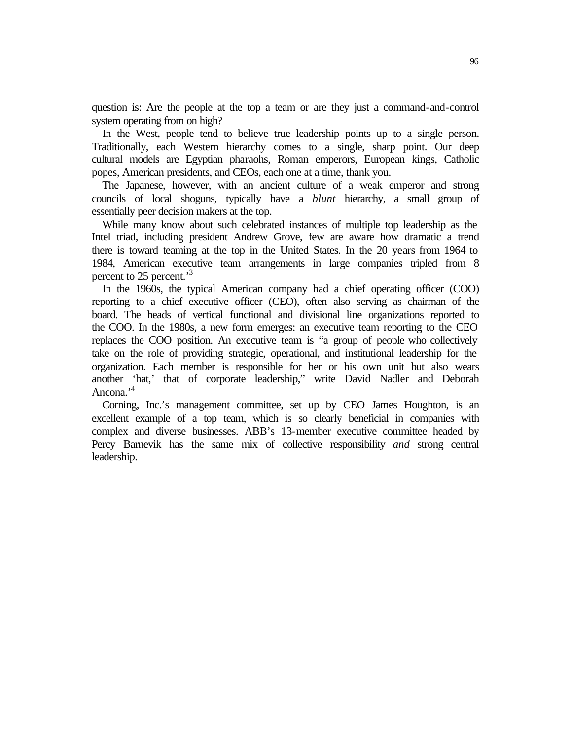question is: Are the people at the top a team or are they just a command-and-control system operating from on high?

In the West, people tend to believe true leadership points up to a single person. Traditionally, each Western hierarchy comes to a single, sharp point. Our deep cultural models are Egyptian pharaohs, Roman emperors, European kings, Catholic popes, American presidents, and CEOs, each one at a time, thank you.

The Japanese, however, with an ancient culture of a weak emperor and strong councils of local shoguns, typically have a *blunt* hierarchy, a small group of essentially peer decision makers at the top.

While many know about such celebrated instances of multiple top leadership as the Intel triad, including president Andrew Grove, few are aware how dramatic a trend there is toward teaming at the top in the United States. In the 20 years from 1964 to 1984, American executive team arrangements in large companies tripled from 8 percent to 25 percent.<sup>3</sup>

In the 1960s, the typical American company had a chief operating officer (COO) reporting to a chief executive officer (CEO), often also serving as chairman of the board. The heads of vertical functional and divisional line organizations reported to the COO. In the 1980s, a new form emerges: an executive team reporting to the CEO replaces the COO position. An executive team is "a group of people who collectively take on the role of providing strategic, operational, and institutional leadership for the organization. Each member is responsible for her or his own unit but also wears another 'hat,' that of corporate leadership," write David Nadler and Deborah Ancona<sup> $,4$ </sup>

Corning, Inc.'s management committee, set up by CEO James Houghton, is an excellent example of a top team, which is so clearly beneficial in companies with complex and diverse businesses. ABB's 13-member executive committee headed by Percy Barnevik has the same mix of collective responsibility *and* strong central leadership.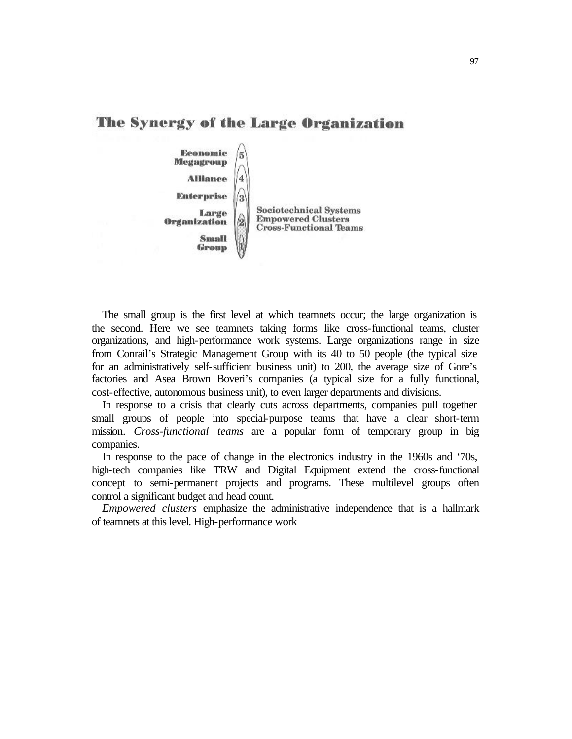# The Synergy of the Large Organization



The small group is the first level at which teamnets occur; the large organization is the second. Here we see teamnets taking forms like cross-functional teams, cluster organizations, and high-performance work systems. Large organizations range in size from Conrail's Strategic Management Group with its 40 to 50 people (the typical size for an administratively self-sufficient business unit) to 200, the average size of Gore's factories and Asea Brown Boveri's companies (a typical size for a fully functional, cost-effective, autonomous business unit), to even larger departments and divisions.

In response to a crisis that clearly cuts across departments, companies pull together small groups of people into special-purpose teams that have a clear short-term mission. *Cross-functional teams* are a popular form of temporary group in big companies.

In response to the pace of change in the electronics industry in the 1960s and '70s, high-tech companies like TRW and Digital Equipment extend the cross-functional concept to semi-permanent projects and programs. These multilevel groups often control a significant budget and head count.

*Empowered clusters* emphasize the administrative independence that is a hallmark of teamnets at this level. High-performance work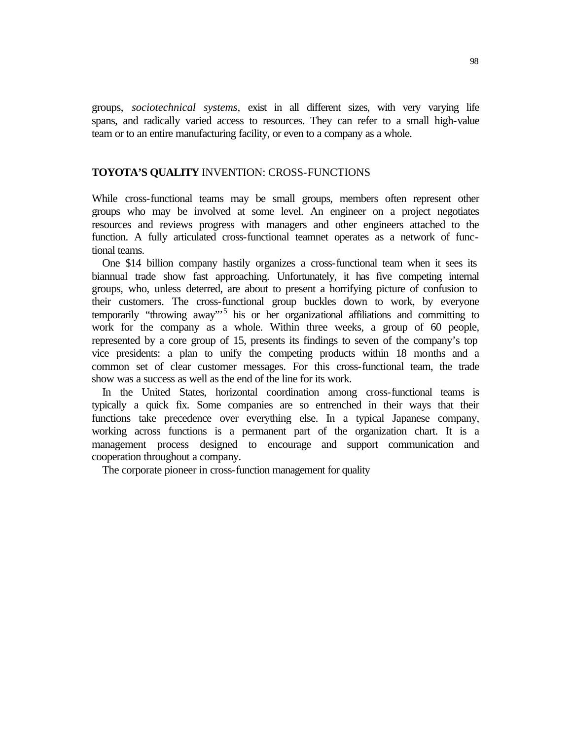groups, *sociotechnical systems,* exist in all different sizes, with very varying life spans, and radically varied access to resources. They can refer to a small high-value team or to an entire manufacturing facility, or even to a company as a whole.

#### **TOYOTA'S QUALITY** INVENTION: CROSS-FUNCTIONS

While cross-functional teams may be small groups, members often represent other groups who may be involved at some level. An engineer on a project negotiates resources and reviews progress with managers and other engineers attached to the function. A fully articulated cross-functional teamnet operates as a network of functional teams.

One \$14 billion company hastily organizes a cross-functional team when it sees its biannual trade show fast approaching. Unfortunately, it has five competing internal groups, who, unless deterred, are about to present a horrifying picture of confusion to their customers. The cross-functional group buckles down to work, by everyone temporarily "throwing away"<sup>5</sup> his or her organizational affiliations and committing to work for the company as a whole. Within three weeks, a group of 60 people, represented by a core group of 15, presents its findings to seven of the company's top vice presidents: a plan to unify the competing products within 18 months and a common set of clear customer messages. For this cross-functional team, the trade show was a success as well as the end of the line for its work.

In the United States, horizontal coordination among cross-functional teams is typically a quick fix. Some companies are so entrenched in their ways that their functions take precedence over everything else. In a typical Japanese company, working across functions is a permanent part of the organization chart. It is a management process designed to encourage and support communication and cooperation throughout a company.

The corporate pioneer in cross-function management for quality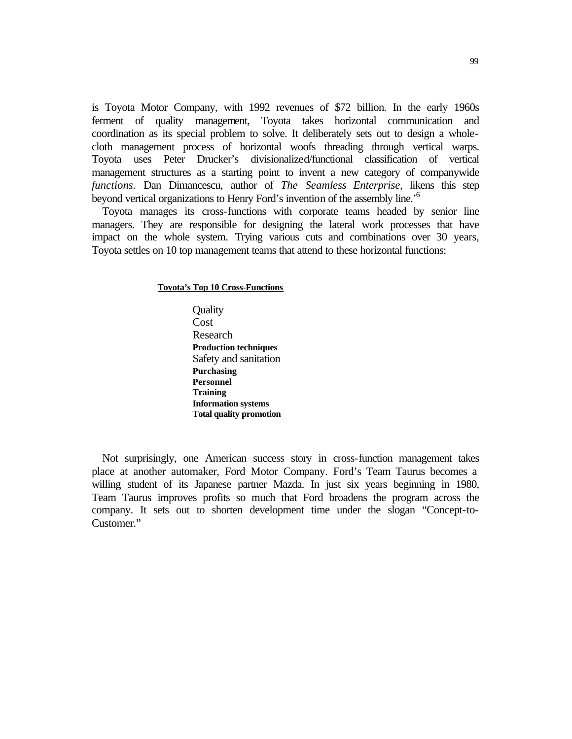is Toyota Motor Company, with 1992 revenues of \$72 billion. In the early 1960s ferment of quality management, Toyota takes horizontal communication and coordination as its special problem to solve. It deliberately sets out to design a wholecloth management process of horizontal woofs threading through vertical warps. Toyota uses Peter Drucker's divisionalized/functional classification of vertical management structures as a starting point to invent a new category of companywide *functions.* Dan Dimancescu, author of *The Seamless Enterprise,* likens this step beyond vertical organizations to Henry Ford's invention of the assembly line.'<sup>6</sup>

Toyota manages its cross-functions with corporate teams headed by senior line managers. They are responsible for designing the lateral work processes that have impact on the whole system. Trying various cuts and combinations over 30 years, Toyota settles on 10 top management teams that attend to these horizontal functions:

#### **Toyota's Top 10 Cross-Functions**

**Quality** Cost Research **Production techniques** Safety and sanitation **Purchasing Personnel Training Information systems Total quality promotion**

Not surprisingly, one American success story in cross-function management takes place at another automaker, Ford Motor Company. Ford's Team Taurus becomes a willing student of its Japanese partner Mazda. In just six years beginning in 1980, Team Taurus improves profits so much that Ford broadens the program across the company. It sets out to shorten development time under the slogan "Concept-to-Customer."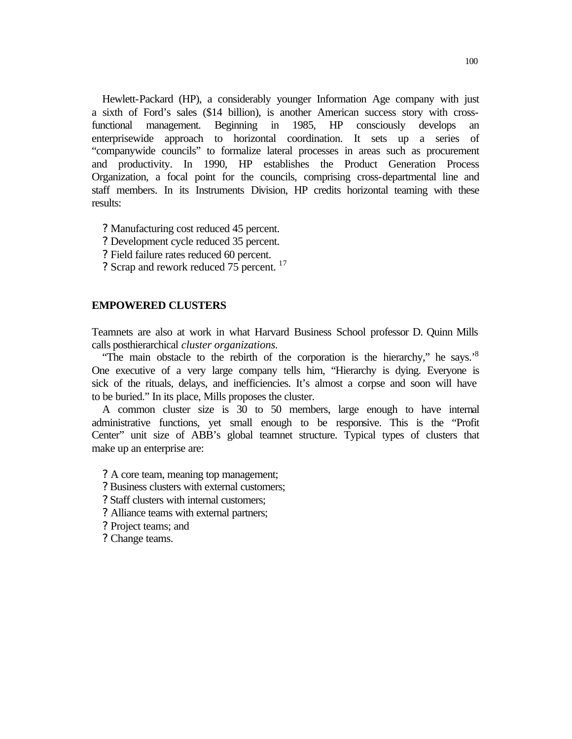Hewlett-Packard (HP), a considerably younger Information Age company with just a sixth of Ford's sales (\$14 billion), is another American success story with crossfunctional management. Beginning in 1985, HP consciously develops an enterprisewide approach to horizontal coordination. It sets up a series of "companywide councils" to formalize lateral processes in areas such as procurement and productivity. In 1990, HP establishes the Product Generation Process Organization, a focal point for the councils, comprising cross-departmental line and staff members. In its Instruments Division, HP credits horizontal teaming with these results:

- ? Manufacturing cost reduced 45 percent.
- ? Development cycle reduced 35 percent.
- ? Field failure rates reduced 60 percent.
- ? Scrap and rework reduced 75 percent. <sup>17</sup>

#### **EMPOWERED CLUSTERS**

Teamnets are also at work in what Harvard Business School professor D. Quinn Mills calls posthierarchical *cluster organizations.*

"The main obstacle to the rebirth of the corporation is the hierarchy," he says.<sup>'8</sup> One executive of a very large company tells him, "Hierarchy is dying. Everyone is sick of the rituals, delays, and inefficiencies. It's almost a corpse and soon will have to be buried." In its place, Mills proposes the cluster.

A common cluster size is 30 to 50 members, large enough to have internal administrative functions, yet small enough to be responsive. This is the "Profit Center" unit size of ABB's global teamnet structure. Typical types of clusters that make up an enterprise are:

- ? A core team, meaning top management;
- ? Business clusters with external customers;
- ? Staff clusters with internal customers;
- ? Alliance teams with external partners;
- ? Project teams; and
- ? Change teams.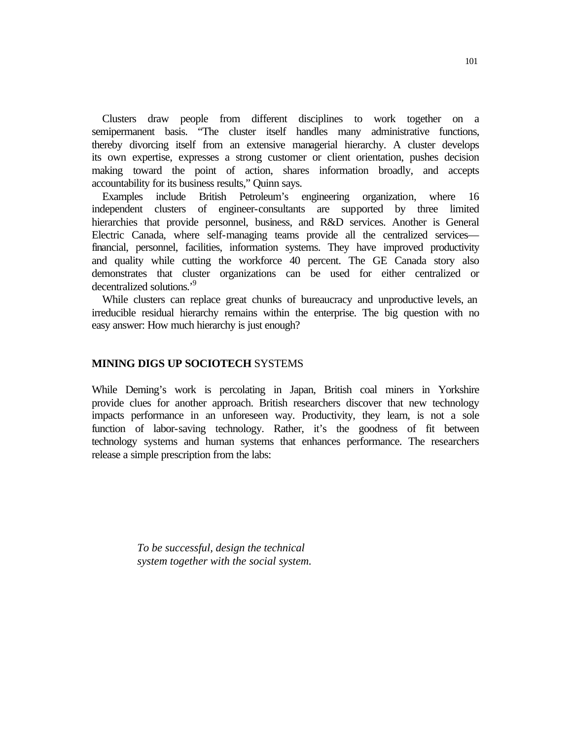Clusters draw people from different disciplines to work together on a semipermanent basis. "The cluster itself handles many administrative functions, thereby divorcing itself from an extensive managerial hierarchy. A cluster develops its own expertise, expresses a strong customer or client orientation, pushes decision making toward the point of action, shares information broadly, and accepts accountability for its business results," Quinn says.

Examples include British Petroleum's engineering organization, where 16 independent clusters of engineer-consultants are supported by three limited hierarchies that provide personnel, business, and R&D services. Another is General Electric Canada, where self-managing teams provide all the centralized services financial, personnel, facilities, information systems. They have improved productivity and quality while cutting the workforce 40 percent. The GE Canada story also demonstrates that cluster organizations can be used for either centralized or decentralized solutions.'<sup>9</sup>

While clusters can replace great chunks of bureaucracy and unproductive levels, an irreducible residual hierarchy remains within the enterprise. The big question with no easy answer: How much hierarchy is just enough?

#### **MINING DIGS UP SOCIOTECH** SYSTEMS

While Deming's work is percolating in Japan, British coal miners in Yorkshire provide clues for another approach. British researchers discover that new technology impacts performance in an unforeseen way. Productivity, they learn, is not a sole function of labor-saving technology. Rather, it's the goodness of fit between technology systems and human systems that enhances performance. The researchers release a simple prescription from the labs:

> *To be successful, design the technical system together with the social system.*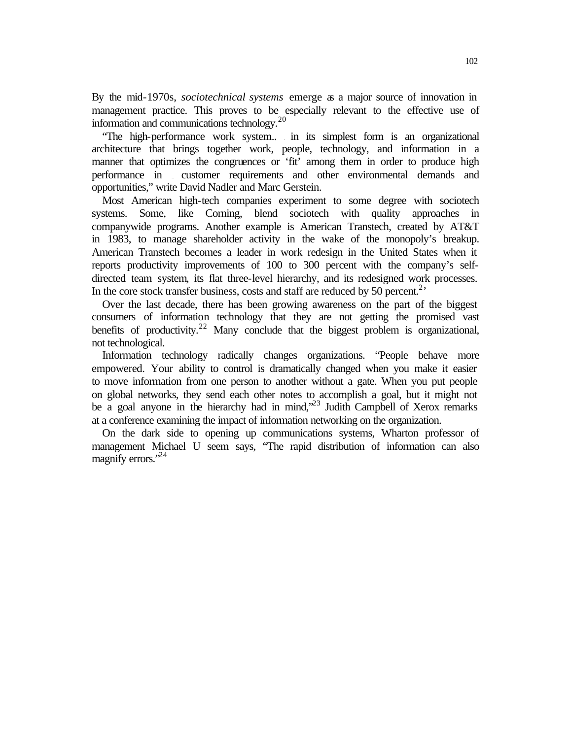By the mid-1970s, *sociotechnical systems* emerge as a major source of innovation in management practice. This proves to be especially relevant to the effective use of information and communications technology. $^{20}$ 

"The high-performance work system... in its simplest form is an organizational architecture that brings together work, people, technology, and information in a manner that optimizes the congruences or 'fit' among them in order to produce high performance in ... customer requirements and other environmental demands and opportunities," write David Nadler and Marc Gerstein.

Most American high-tech companies experiment to some degree with sociotech systems. Some, like Corning, blend sociotech with quality approaches in companywide programs. Another example is American Transtech, created by AT&T in 1983, to manage shareholder activity in the wake of the monopoly's breakup. American Transtech becomes a leader in work redesign in the United States when it reports productivity improvements of 100 to 300 percent with the company's selfdirected team system, its flat three-level hierarchy, and its redesigned work processes. In the core stock transfer business, costs and staff are reduced by 50 percent.<sup>2</sup>

Over the last decade, there has been growing awareness on the part of the biggest consumers of information technology that they are not getting the promised vast benefits of productivity.<sup>22</sup> Many conclude that the biggest problem is organizational, not technological.

Information technology radically changes organizations. "People behave more empowered. Your ability to control is dramatically changed when you make it easier to move information from one person to another without a gate. When you put people on global networks, they send each other notes to accomplish a goal, but it might not be a goal anyone in the hierarchy had in mind, $23$  Judith Campbell of Xerox remarks at a conference examining the impact of information networking on the organization.

On the dark side to opening up communications systems, Wharton professor of management Michael U seem says, "The rapid distribution of information can also magnify errors. $124$